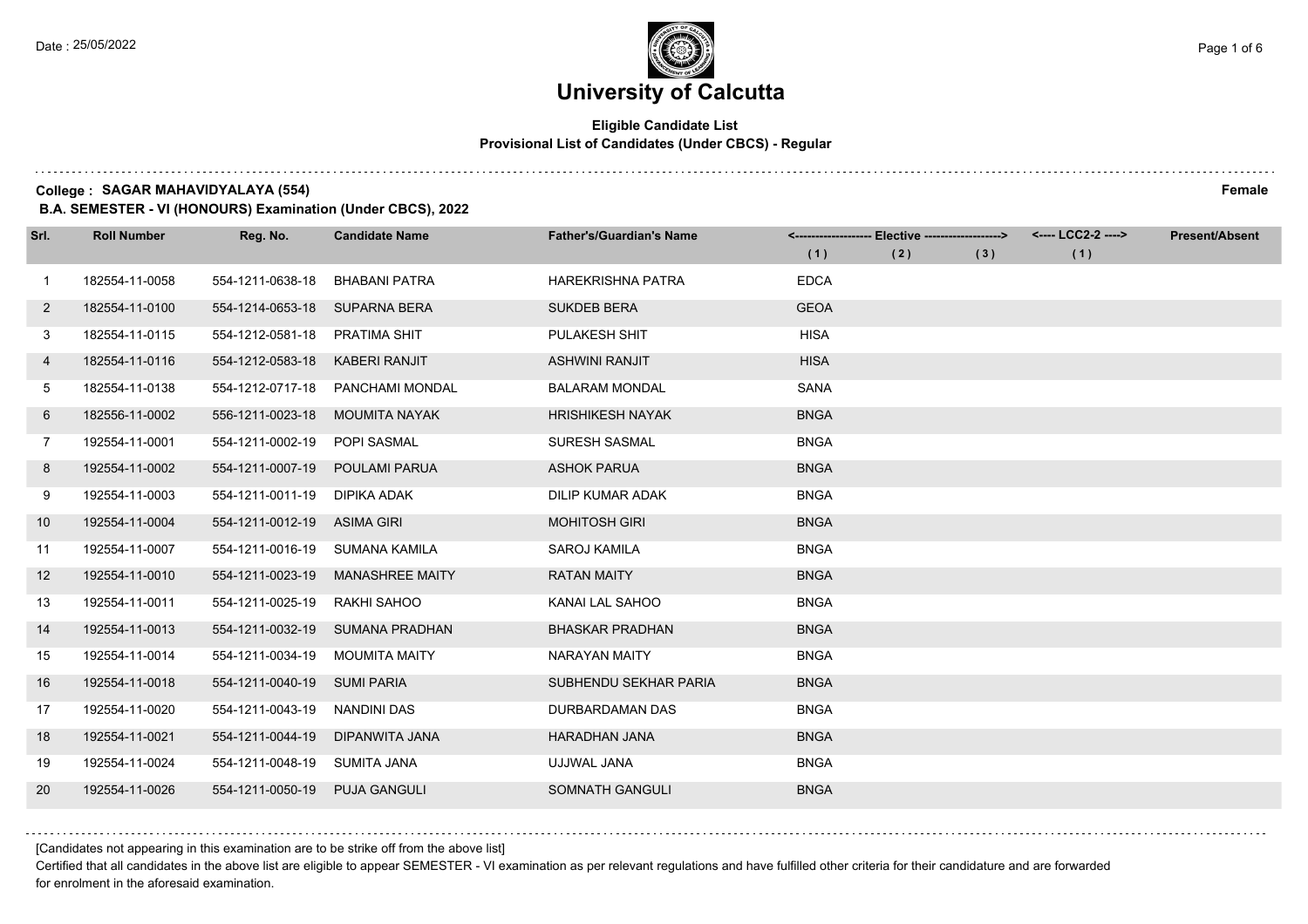$1.111$ 

# **University of Calcutta**

## **Eligible Candidate List Provisional List of Candidates (Under CBCS) - Regular**

#### **College : SAGAR MAHAVIDYALAYA (554) Female**

**B.A. SEMESTER - VI (HONOURS) Examination (Under CBCS), 2022**

| Srl.         | <b>Roll Number</b> | Reg. No.                       | <b>Candidate Name</b>  | <b>Father's/Guardian's Name</b> |             | <------------------- Elective ------------------> |     | <---- LCC2-2 ----> | <b>Present/Absent</b> |
|--------------|--------------------|--------------------------------|------------------------|---------------------------------|-------------|---------------------------------------------------|-----|--------------------|-----------------------|
|              |                    |                                |                        |                                 | (1)         | (2)                                               | (3) | (1)                |                       |
| $\mathbf{1}$ | 182554-11-0058     | 554-1211-0638-18               | <b>BHABANI PATRA</b>   | <b>HAREKRISHNA PATRA</b>        | <b>EDCA</b> |                                                   |     |                    |                       |
| $2^{\circ}$  | 182554-11-0100     | 554-1214-0653-18               | <b>SUPARNA BERA</b>    | <b>SUKDEB BERA</b>              | <b>GEOA</b> |                                                   |     |                    |                       |
| 3            | 182554-11-0115     | 554-1212-0581-18               | PRATIMA SHIT           | PULAKESH SHIT                   | <b>HISA</b> |                                                   |     |                    |                       |
| 4            | 182554-11-0116     | 554-1212-0583-18               | <b>KABERI RANJIT</b>   | <b>ASHWINI RANJIT</b>           | <b>HISA</b> |                                                   |     |                    |                       |
| 5            | 182554-11-0138     | 554-1212-0717-18               | PANCHAMI MONDAL        | <b>BALARAM MONDAL</b>           | <b>SANA</b> |                                                   |     |                    |                       |
| 6            | 182556-11-0002     | 556-1211-0023-18               | <b>MOUMITA NAYAK</b>   | <b>HRISHIKESH NAYAK</b>         | <b>BNGA</b> |                                                   |     |                    |                       |
| $7^{\circ}$  | 192554-11-0001     | 554-1211-0002-19               | POPI SASMAL            | <b>SURESH SASMAL</b>            | <b>BNGA</b> |                                                   |     |                    |                       |
| 8            | 192554-11-0002     | 554-1211-0007-19               | POULAMI PARUA          | <b>ASHOK PARUA</b>              | <b>BNGA</b> |                                                   |     |                    |                       |
| 9            | 192554-11-0003     | 554-1211-0011-19               | DIPIKA ADAK            | DILIP KUMAR ADAK                | <b>BNGA</b> |                                                   |     |                    |                       |
| 10           | 192554-11-0004     | 554-1211-0012-19 ASIMA GIRI    |                        | <b>MOHITOSH GIRI</b>            | <b>BNGA</b> |                                                   |     |                    |                       |
| 11           | 192554-11-0007     | 554-1211-0016-19 SUMANA KAMILA |                        | <b>SAROJ KAMILA</b>             | <b>BNGA</b> |                                                   |     |                    |                       |
| 12           | 192554-11-0010     | 554-1211-0023-19               | <b>MANASHREE MAITY</b> | <b>RATAN MAITY</b>              | <b>BNGA</b> |                                                   |     |                    |                       |
| 13           | 192554-11-0011     | 554-1211-0025-19               | RAKHI SAHOO            | KANAI LAL SAHOO                 | <b>BNGA</b> |                                                   |     |                    |                       |
| 14           | 192554-11-0013     | 554-1211-0032-19               | SUMANA PRADHAN         | <b>BHASKAR PRADHAN</b>          | <b>BNGA</b> |                                                   |     |                    |                       |
| 15           | 192554-11-0014     | 554-1211-0034-19               | <b>MOUMITA MAITY</b>   | <b>NARAYAN MAITY</b>            | <b>BNGA</b> |                                                   |     |                    |                       |
| 16           | 192554-11-0018     | 554-1211-0040-19 SUMI PARIA    |                        | SUBHENDU SEKHAR PARIA           | <b>BNGA</b> |                                                   |     |                    |                       |
| 17           | 192554-11-0020     | 554-1211-0043-19               | <b>NANDINI DAS</b>     | DURBARDAMAN DAS                 | <b>BNGA</b> |                                                   |     |                    |                       |
| 18           | 192554-11-0021     | 554-1211-0044-19               | DIPANWITA JANA         | <b>HARADHAN JANA</b>            | <b>BNGA</b> |                                                   |     |                    |                       |
| 19           | 192554-11-0024     | 554-1211-0048-19               | SUMITA JANA            | UJJWAL JANA                     | <b>BNGA</b> |                                                   |     |                    |                       |
| 20           | 192554-11-0026     | 554-1211-0050-19               | <b>PUJA GANGULI</b>    | SOMNATH GANGULI                 | <b>BNGA</b> |                                                   |     |                    |                       |

[Candidates not appearing in this examination are to be strike off from the above list]

Certified that all candidates in the above list are eligible to appear SEMESTER - VI examination as per relevant regulations and have fulfilled other criteria for their candidature and are forwarded for enrolment in the aforesaid examination.

. . . . . . . . . .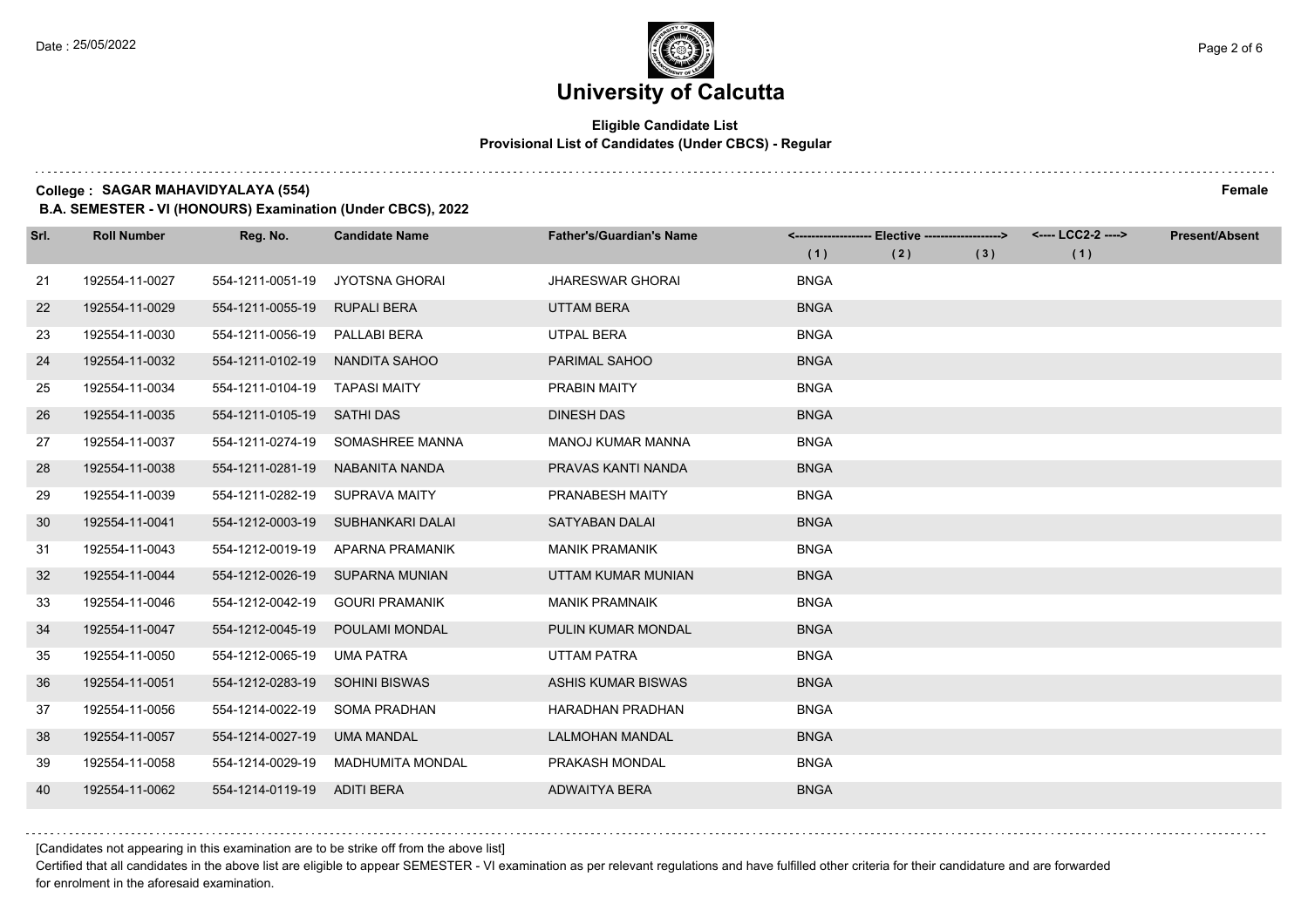## **Eligible Candidate List Provisional List of Candidates (Under CBCS) - Regular**

**College : SAGAR MAHAVIDYALAYA (554) Female**

**B.A. SEMESTER - VI (HONOURS) Examination (Under CBCS), 2022**

| Srl. | <b>Roll Number</b> | Reg. No.                       | <b>Candidate Name</b>            | <b>Father's/Guardian's Name</b> |             | <------------------- Elective ------------------> |     | <---- LCC2-2 ----> | <b>Present/Absent</b> |
|------|--------------------|--------------------------------|----------------------------------|---------------------------------|-------------|---------------------------------------------------|-----|--------------------|-----------------------|
|      |                    |                                |                                  |                                 | (1)         | (2)                                               | (3) | (1)                |                       |
| 21   | 192554-11-0027     | 554-1211-0051-19               | <b>JYOTSNA GHORAI</b>            | <b>JHARESWAR GHORAI</b>         | <b>BNGA</b> |                                                   |     |                    |                       |
| 22   | 192554-11-0029     | 554-1211-0055-19               | <b>RUPALI BERA</b>               | <b>UTTAM BERA</b>               | <b>BNGA</b> |                                                   |     |                    |                       |
| 23   | 192554-11-0030     | 554-1211-0056-19               | PALLABI BERA                     | UTPAL BERA                      | <b>BNGA</b> |                                                   |     |                    |                       |
| 24   | 192554-11-0032     | 554-1211-0102-19               | NANDITA SAHOO                    | <b>PARIMAL SAHOO</b>            | <b>BNGA</b> |                                                   |     |                    |                       |
| 25   | 192554-11-0034     | 554-1211-0104-19               | <b>TAPASI MAITY</b>              | <b>PRABIN MAITY</b>             | <b>BNGA</b> |                                                   |     |                    |                       |
| 26   | 192554-11-0035     | 554-1211-0105-19               | SATHI DAS                        | <b>DINESH DAS</b>               | <b>BNGA</b> |                                                   |     |                    |                       |
| 27   | 192554-11-0037     |                                | 554-1211-0274-19 SOMASHREE MANNA | <b>MANOJ KUMAR MANNA</b>        | <b>BNGA</b> |                                                   |     |                    |                       |
| 28   | 192554-11-0038     | 554-1211-0281-19               | NABANITA NANDA                   | PRAVAS KANTI NANDA              | <b>BNGA</b> |                                                   |     |                    |                       |
| 29   | 192554-11-0039     | 554-1211-0282-19               | <b>SUPRAVA MAITY</b>             | PRANABESH MAITY                 | <b>BNGA</b> |                                                   |     |                    |                       |
| 30   | 192554-11-0041     | 554-1212-0003-19               | SUBHANKARI DALAI                 | <b>SATYABAN DALAI</b>           | <b>BNGA</b> |                                                   |     |                    |                       |
| 31   | 192554-11-0043     | 554-1212-0019-19               | APARNA PRAMANIK                  | <b>MANIK PRAMANIK</b>           | <b>BNGA</b> |                                                   |     |                    |                       |
| 32   | 192554-11-0044     |                                | 554-1212-0026-19 SUPARNA MUNIAN  | UTTAM KUMAR MUNIAN              | <b>BNGA</b> |                                                   |     |                    |                       |
| 33   | 192554-11-0046     | 554-1212-0042-19               | <b>GOURI PRAMANIK</b>            | <b>MANIK PRAMNAIK</b>           | <b>BNGA</b> |                                                   |     |                    |                       |
| 34   | 192554-11-0047     | 554-1212-0045-19               | POULAMI MONDAL                   | PULIN KUMAR MONDAL              | <b>BNGA</b> |                                                   |     |                    |                       |
| 35   | 192554-11-0050     | 554-1212-0065-19 UMA PATRA     |                                  | <b>UTTAM PATRA</b>              | <b>BNGA</b> |                                                   |     |                    |                       |
| 36   | 192554-11-0051     | 554-1212-0283-19 SOHINI BISWAS |                                  | <b>ASHIS KUMAR BISWAS</b>       | <b>BNGA</b> |                                                   |     |                    |                       |
| 37   | 192554-11-0056     | 554-1214-0022-19               | SOMA PRADHAN                     | <b>HARADHAN PRADHAN</b>         | <b>BNGA</b> |                                                   |     |                    |                       |
| 38   | 192554-11-0057     | 554-1214-0027-19               | <b>UMA MANDAL</b>                | <b>LALMOHAN MANDAL</b>          | <b>BNGA</b> |                                                   |     |                    |                       |
| 39   | 192554-11-0058     | 554-1214-0029-19               | <b>MADHUMITA MONDAL</b>          | PRAKASH MONDAL                  | <b>BNGA</b> |                                                   |     |                    |                       |
| 40   | 192554-11-0062     | 554-1214-0119-19 ADITI BERA    |                                  | ADWAITYA BERA                   | <b>BNGA</b> |                                                   |     |                    |                       |

[Candidates not appearing in this examination are to be strike off from the above list]

Certified that all candidates in the above list are eligible to appear SEMESTER - VI examination as per relevant regulations and have fulfilled other criteria for their candidature and are forwarded for enrolment in the aforesaid examination.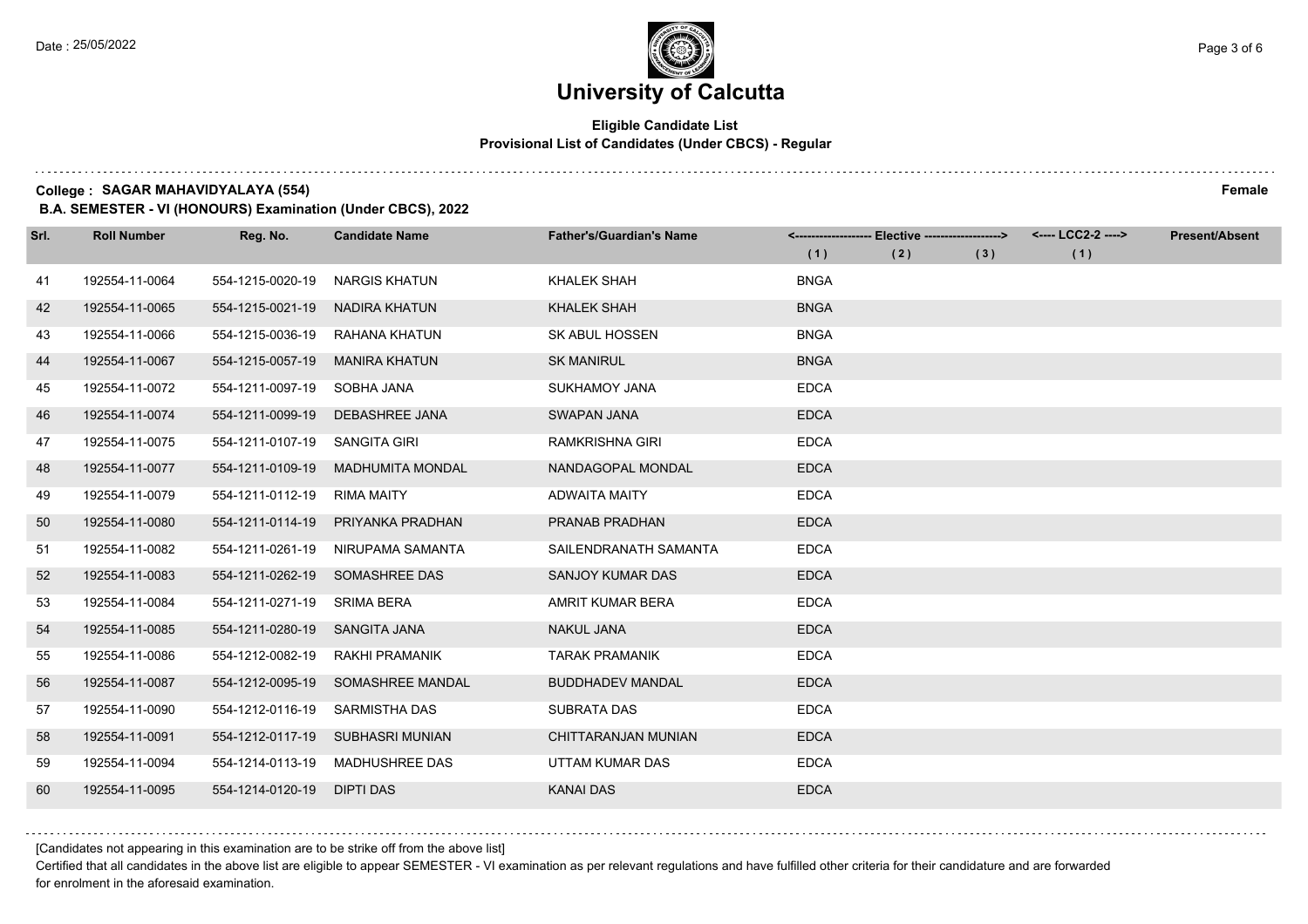## **Eligible Candidate List Provisional List of Candidates (Under CBCS) - Regular**

**College : SAGAR MAHAVIDYALAYA (554) Female**

**B.A. SEMESTER - VI (HONOURS) Examination (Under CBCS), 2022**

| Srl. | <b>Roll Number</b> | Reg. No.                      | <b>Candidate Name</b>   | <b>Father's/Guardian's Name</b> |             | <------------------- Elective -------------------> |     | <---- LCC2-2 ----> | <b>Present/Absent</b> |
|------|--------------------|-------------------------------|-------------------------|---------------------------------|-------------|----------------------------------------------------|-----|--------------------|-----------------------|
|      |                    |                               |                         |                                 | (1)         | (2)                                                | (3) | (1)                |                       |
| 41   | 192554-11-0064     | 554-1215-0020-19              | <b>NARGIS KHATUN</b>    | <b>KHALEK SHAH</b>              | <b>BNGA</b> |                                                    |     |                    |                       |
| 42   | 192554-11-0065     | 554-1215-0021-19              | <b>NADIRA KHATUN</b>    | <b>KHALEK SHAH</b>              | <b>BNGA</b> |                                                    |     |                    |                       |
| 43   | 192554-11-0066     | 554-1215-0036-19              | RAHANA KHATUN           | <b>SK ABUL HOSSEN</b>           | <b>BNGA</b> |                                                    |     |                    |                       |
| 44   | 192554-11-0067     | 554-1215-0057-19              | <b>MANIRA KHATUN</b>    | <b>SK MANIRUL</b>               | <b>BNGA</b> |                                                    |     |                    |                       |
| 45   | 192554-11-0072     | 554-1211-0097-19              | SOBHA JANA              | <b>SUKHAMOY JANA</b>            | <b>EDCA</b> |                                                    |     |                    |                       |
| 46   | 192554-11-0074     | 554-1211-0099-19              | DEBASHREE JANA          | <b>SWAPAN JANA</b>              | <b>EDCA</b> |                                                    |     |                    |                       |
| 47   | 192554-11-0075     | 554-1211-0107-19 SANGITA GIRI |                         | RAMKRISHNA GIRI                 | <b>EDCA</b> |                                                    |     |                    |                       |
| 48   | 192554-11-0077     | 554-1211-0109-19              | <b>MADHUMITA MONDAL</b> | NANDAGOPAL MONDAL               | <b>EDCA</b> |                                                    |     |                    |                       |
| 49   | 192554-11-0079     | 554-1211-0112-19              | <b>RIMA MAITY</b>       | <b>ADWAITA MAITY</b>            | <b>EDCA</b> |                                                    |     |                    |                       |
| 50   | 192554-11-0080     | 554-1211-0114-19              | PRIYANKA PRADHAN        | PRANAB PRADHAN                  | <b>EDCA</b> |                                                    |     |                    |                       |
| 51   | 192554-11-0082     | 554-1211-0261-19              | NIRUPAMA SAMANTA        | SAILENDRANATH SAMANTA           | <b>EDCA</b> |                                                    |     |                    |                       |
| 52   | 192554-11-0083     | 554-1211-0262-19              | SOMASHREE DAS           | <b>SANJOY KUMAR DAS</b>         | <b>EDCA</b> |                                                    |     |                    |                       |
| 53   | 192554-11-0084     | 554-1211-0271-19              | <b>SRIMA BERA</b>       | AMRIT KUMAR BERA                | <b>EDCA</b> |                                                    |     |                    |                       |
| 54   | 192554-11-0085     | 554-1211-0280-19              | <b>SANGITA JANA</b>     | <b>NAKUL JANA</b>               | <b>EDCA</b> |                                                    |     |                    |                       |
| 55   | 192554-11-0086     | 554-1212-0082-19              | RAKHI PRAMANIK          | <b>TARAK PRAMANIK</b>           | <b>EDCA</b> |                                                    |     |                    |                       |
| 56   | 192554-11-0087     | 554-1212-0095-19              | SOMASHREE MANDAL        | <b>BUDDHADEV MANDAL</b>         | <b>EDCA</b> |                                                    |     |                    |                       |
| 57   | 192554-11-0090     | 554-1212-0116-19              | <b>SARMISTHA DAS</b>    | <b>SUBRATA DAS</b>              | <b>EDCA</b> |                                                    |     |                    |                       |
| 58   | 192554-11-0091     | 554-1212-0117-19              | SUBHASRI MUNIAN         | CHITTARANJAN MUNIAN             | <b>EDCA</b> |                                                    |     |                    |                       |
| 59   | 192554-11-0094     | 554-1214-0113-19              | <b>MADHUSHREE DAS</b>   | UTTAM KUMAR DAS                 | <b>EDCA</b> |                                                    |     |                    |                       |
| 60   | 192554-11-0095     | 554-1214-0120-19              | DIPTI DAS               | <b>KANAI DAS</b>                | <b>EDCA</b> |                                                    |     |                    |                       |

[Candidates not appearing in this examination are to be strike off from the above list]

Certified that all candidates in the above list are eligible to appear SEMESTER - VI examination as per relevant regulations and have fulfilled other criteria for their candidature and are forwarded for enrolment in the aforesaid examination.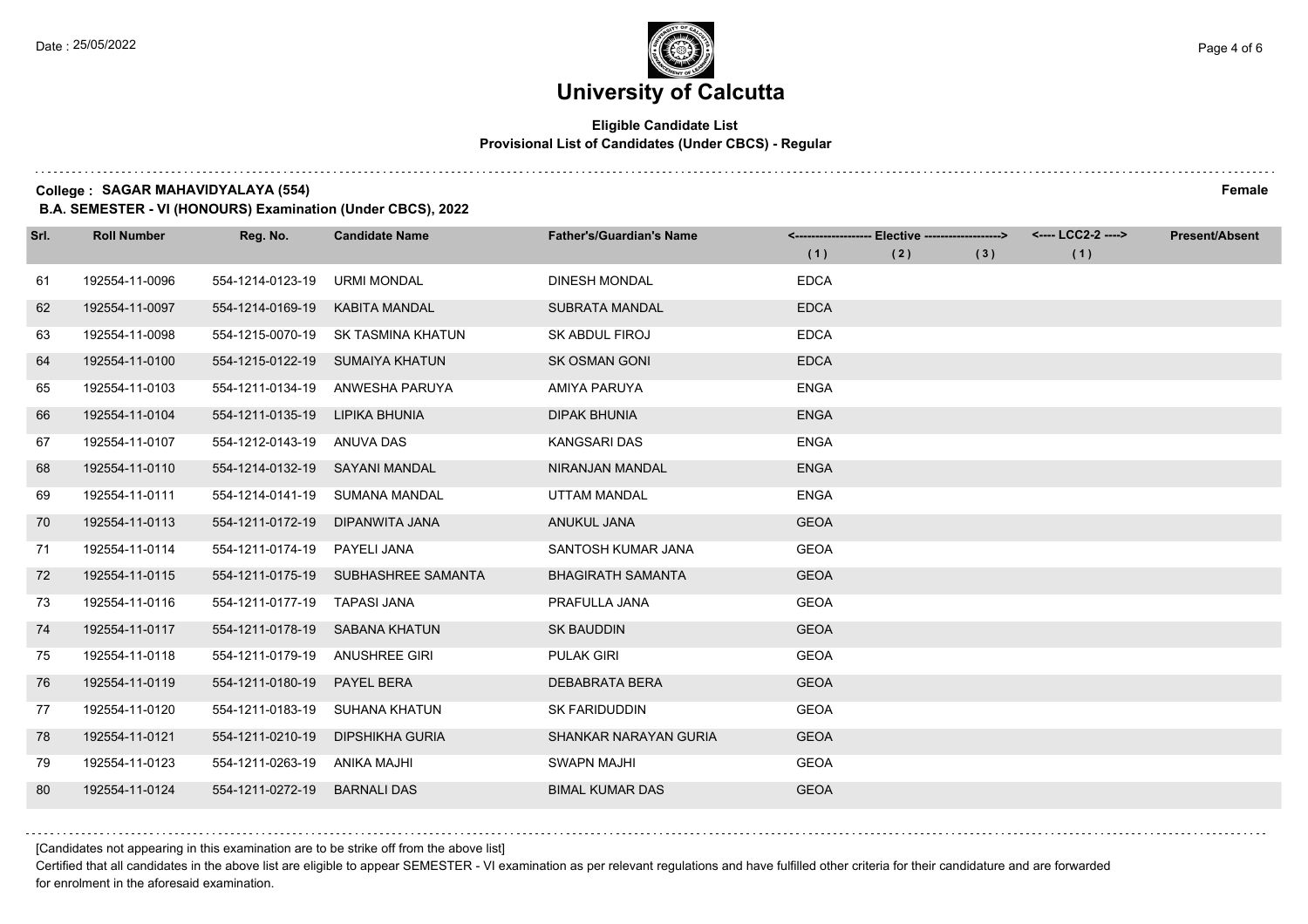## **Eligible Candidate List Provisional List of Candidates (Under CBCS) - Regular**

**College : SAGAR MAHAVIDYALAYA (554) Female**

**B.A. SEMESTER - VI (HONOURS) Examination (Under CBCS), 2022**

| Srl. | <b>Roll Number</b> | Reg. No.                       | <b>Candidate Name</b>               | <b>Father's/Guardian's Name</b> |             | <-------------------- Elective -------------------> |     | <---- LCC2-2 ----> | <b>Present/Absent</b> |
|------|--------------------|--------------------------------|-------------------------------------|---------------------------------|-------------|-----------------------------------------------------|-----|--------------------|-----------------------|
|      |                    |                                |                                     |                                 | (1)         | (2)                                                 | (3) | (1)                |                       |
| 61   | 192554-11-0096     | 554-1214-0123-19               | <b>URMI MONDAL</b>                  | <b>DINESH MONDAL</b>            | <b>EDCA</b> |                                                     |     |                    |                       |
| 62   | 192554-11-0097     | 554-1214-0169-19               | KABITA MANDAL                       | <b>SUBRATA MANDAL</b>           | <b>EDCA</b> |                                                     |     |                    |                       |
| 63   | 192554-11-0098     | 554-1215-0070-19               | SK TASMINA KHATUN                   | SK ABDUL FIROJ                  | <b>EDCA</b> |                                                     |     |                    |                       |
| 64   | 192554-11-0100     | 554-1215-0122-19               | SUMAIYA KHATUN                      | <b>SK OSMAN GONI</b>            | <b>EDCA</b> |                                                     |     |                    |                       |
| 65   | 192554-11-0103     | 554-1211-0134-19               | ANWESHA PARUYA                      | <b>AMIYA PARUYA</b>             | <b>ENGA</b> |                                                     |     |                    |                       |
| 66   | 192554-11-0104     | 554-1211-0135-19               | LIPIKA BHUNIA                       | <b>DIPAK BHUNIA</b>             | <b>ENGA</b> |                                                     |     |                    |                       |
| 67   | 192554-11-0107     | 554-1212-0143-19 ANUVA DAS     |                                     | KANGSARI DAS                    | <b>ENGA</b> |                                                     |     |                    |                       |
| 68   | 192554-11-0110     | 554-1214-0132-19 SAYANI MANDAL |                                     | <b>NIRANJAN MANDAL</b>          | <b>ENGA</b> |                                                     |     |                    |                       |
| 69   | 192554-11-0111     | 554-1214-0141-19               | SUMANA MANDAL                       | <b>UTTAM MANDAL</b>             | <b>ENGA</b> |                                                     |     |                    |                       |
| 70   | 192554-11-0113     | 554-1211-0172-19               | DIPANWITA JANA                      | ANUKUL JANA                     | <b>GEOA</b> |                                                     |     |                    |                       |
| 71   | 192554-11-0114     | 554-1211-0174-19               | PAYELI JANA                         | SANTOSH KUMAR JANA              | <b>GEOA</b> |                                                     |     |                    |                       |
| 72   | 192554-11-0115     |                                | 554-1211-0175-19 SUBHASHREE SAMANTA | <b>BHAGIRATH SAMANTA</b>        | <b>GEOA</b> |                                                     |     |                    |                       |
| 73   | 192554-11-0116     | 554-1211-0177-19               | <b>TAPASI JANA</b>                  | PRAFULLA JANA                   | <b>GEOA</b> |                                                     |     |                    |                       |
| 74   | 192554-11-0117     | 554-1211-0178-19               | SABANA KHATUN                       | <b>SK BAUDDIN</b>               | <b>GEOA</b> |                                                     |     |                    |                       |
| 75   | 192554-11-0118     | 554-1211-0179-19               | <b>ANUSHREE GIRI</b>                | <b>PULAK GIRI</b>               | <b>GEOA</b> |                                                     |     |                    |                       |
| 76   | 192554-11-0119     | 554-1211-0180-19               | <b>PAYEL BERA</b>                   | <b>DEBABRATA BERA</b>           | <b>GEOA</b> |                                                     |     |                    |                       |
| 77   | 192554-11-0120     | 554-1211-0183-19               | SUHANA KHATUN                       | <b>SK FARIDUDDIN</b>            | <b>GEOA</b> |                                                     |     |                    |                       |
| 78   | 192554-11-0121     | 554-1211-0210-19               | DIPSHIKHA GURIA                     | SHANKAR NARAYAN GURIA           | <b>GEOA</b> |                                                     |     |                    |                       |
| 79   | 192554-11-0123     | 554-1211-0263-19               | ANIKA MAJHI                         | <b>SWAPN MAJHI</b>              | <b>GEOA</b> |                                                     |     |                    |                       |
| 80   | 192554-11-0124     | 554-1211-0272-19               | <b>BARNALI DAS</b>                  | <b>BIMAL KUMAR DAS</b>          | <b>GEOA</b> |                                                     |     |                    |                       |

[Candidates not appearing in this examination are to be strike off from the above list]

Certified that all candidates in the above list are eligible to appear SEMESTER - VI examination as per relevant regulations and have fulfilled other criteria for their candidature and are forwarded for enrolment in the aforesaid examination.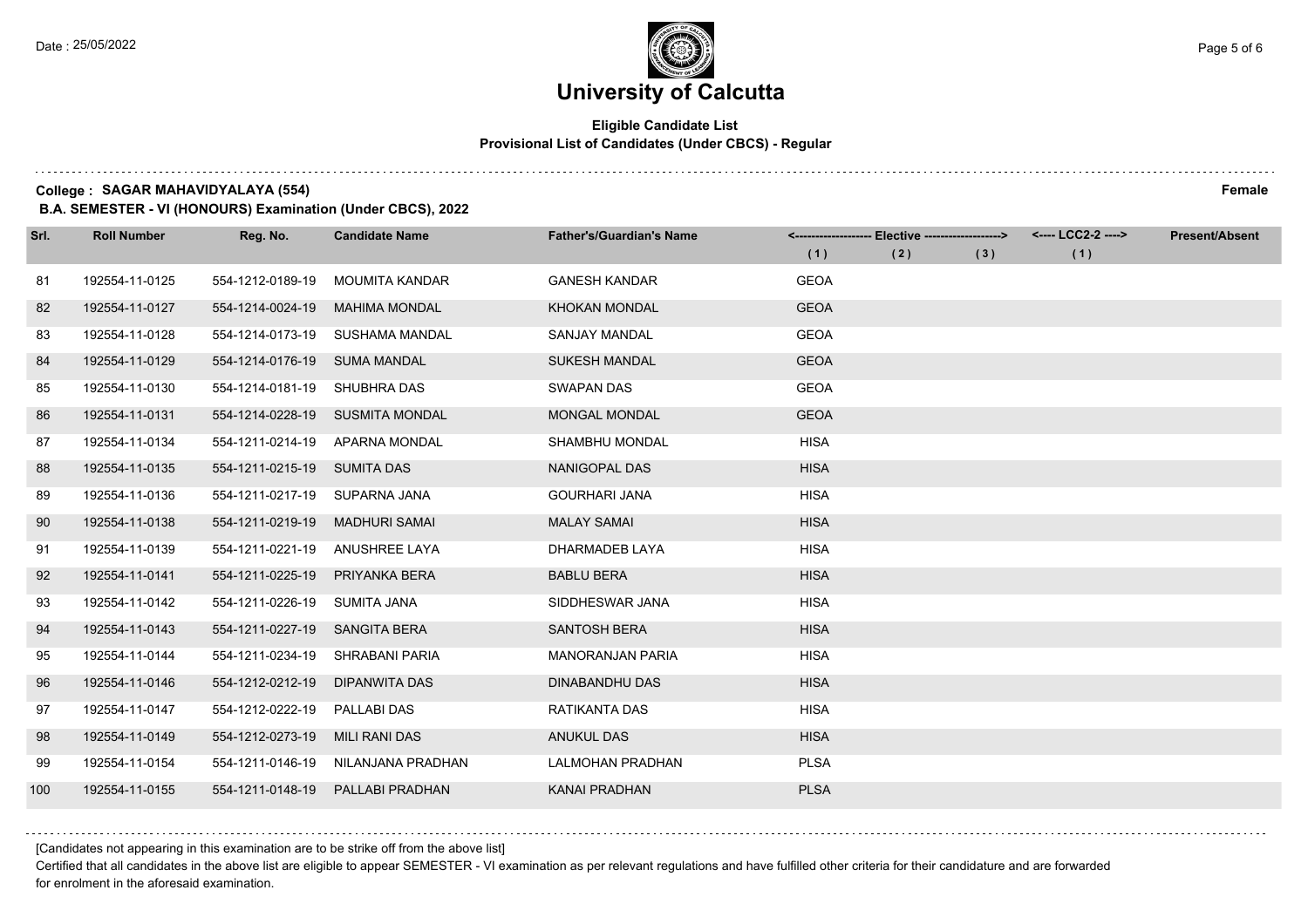## **Eligible Candidate List Provisional List of Candidates (Under CBCS) - Regular**

**College : SAGAR MAHAVIDYALAYA (554) Female**

**B.A. SEMESTER - VI (HONOURS) Examination (Under CBCS), 2022**

| Srl. | <b>Roll Number</b> | Reg. No.                       | <b>Candidate Name</b>          | <b>Father's/Guardian's Name</b> |             | <-------------------- Elective ------------------> |     | <---- LCC2-2 ----> | <b>Present/Absent</b> |
|------|--------------------|--------------------------------|--------------------------------|---------------------------------|-------------|----------------------------------------------------|-----|--------------------|-----------------------|
|      |                    |                                |                                |                                 | (1)         | (2)                                                | (3) | (1)                |                       |
| 81   | 192554-11-0125     | 554-1212-0189-19               | MOUMITA KANDAR                 | <b>GANESH KANDAR</b>            | <b>GEOA</b> |                                                    |     |                    |                       |
| 82   | 192554-11-0127     | 554-1214-0024-19               | <b>MAHIMA MONDAL</b>           | <b>KHOKAN MONDAL</b>            | <b>GEOA</b> |                                                    |     |                    |                       |
| 83   | 192554-11-0128     | 554-1214-0173-19               | SUSHAMA MANDAL                 | <b>SANJAY MANDAL</b>            | <b>GEOA</b> |                                                    |     |                    |                       |
| 84   | 192554-11-0129     | 554-1214-0176-19               | <b>SUMA MANDAL</b>             | <b>SUKESH MANDAL</b>            | <b>GEOA</b> |                                                    |     |                    |                       |
| 85   | 192554-11-0130     | 554-1214-0181-19               | SHUBHRA DAS                    | <b>SWAPAN DAS</b>               | <b>GEOA</b> |                                                    |     |                    |                       |
| 86   | 192554-11-0131     | 554-1214-0228-19               | <b>SUSMITA MONDAL</b>          | <b>MONGAL MONDAL</b>            | <b>GEOA</b> |                                                    |     |                    |                       |
| 87   | 192554-11-0134     |                                | 554-1211-0214-19 APARNA MONDAL | SHAMBHU MONDAL                  | <b>HISA</b> |                                                    |     |                    |                       |
| 88   | 192554-11-0135     | 554-1211-0215-19 SUMITA DAS    |                                | NANIGOPAL DAS                   | <b>HISA</b> |                                                    |     |                    |                       |
| 89   | 192554-11-0136     | 554-1211-0217-19               | SUPARNA JANA                   | <b>GOURHARI JANA</b>            | <b>HISA</b> |                                                    |     |                    |                       |
| 90   | 192554-11-0138     | 554-1211-0219-19               | <b>MADHURI SAMAI</b>           | <b>MALAY SAMAI</b>              | <b>HISA</b> |                                                    |     |                    |                       |
| 91   | 192554-11-0139     | 554-1211-0221-19 ANUSHREE LAYA |                                | DHARMADEB LAYA                  | <b>HISA</b> |                                                    |     |                    |                       |
| 92   | 192554-11-0141     | 554-1211-0225-19               | <b>PRIYANKA BERA</b>           | <b>BABLU BERA</b>               | <b>HISA</b> |                                                    |     |                    |                       |
| 93   | 192554-11-0142     | 554-1211-0226-19               | <b>SUMITA JANA</b>             | SIDDHESWAR JANA                 | <b>HISA</b> |                                                    |     |                    |                       |
| 94   | 192554-11-0143     | 554-1211-0227-19               | <b>SANGITA BERA</b>            | <b>SANTOSH BERA</b>             | <b>HISA</b> |                                                    |     |                    |                       |
| 95   | 192554-11-0144     | 554-1211-0234-19               | SHRABANI PARIA                 | <b>MANORANJAN PARIA</b>         | <b>HISA</b> |                                                    |     |                    |                       |
| 96   | 192554-11-0146     | 554-1212-0212-19               | DIPANWITA DAS                  | DINABANDHU DAS                  | <b>HISA</b> |                                                    |     |                    |                       |
| 97   | 192554-11-0147     | 554-1212-0222-19               | <b>PALLABI DAS</b>             | RATIKANTA DAS                   | <b>HISA</b> |                                                    |     |                    |                       |
| 98   | 192554-11-0149     | 554-1212-0273-19               | <b>MILI RANI DAS</b>           | <b>ANUKUL DAS</b>               | <b>HISA</b> |                                                    |     |                    |                       |
| 99   | 192554-11-0154     | 554-1211-0146-19               | NILANJANA PRADHAN              | <b>LALMOHAN PRADHAN</b>         | <b>PLSA</b> |                                                    |     |                    |                       |
| 100  | 192554-11-0155     | 554-1211-0148-19               | PALLABI PRADHAN                | KANAI PRADHAN                   | <b>PLSA</b> |                                                    |     |                    |                       |

[Candidates not appearing in this examination are to be strike off from the above list]

Certified that all candidates in the above list are eligible to appear SEMESTER - VI examination as per relevant regulations and have fulfilled other criteria for their candidature and are forwarded for enrolment in the aforesaid examination.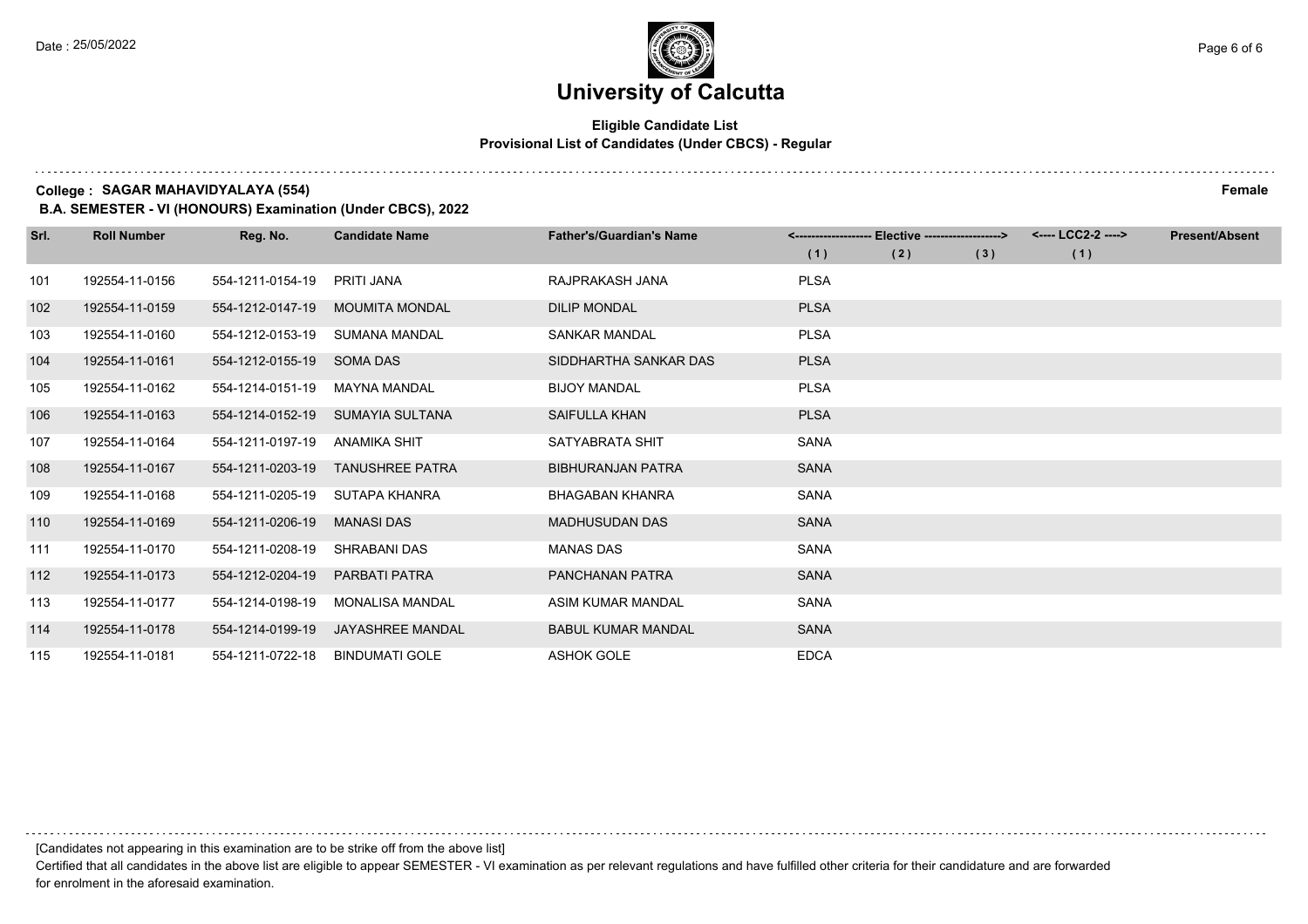## **Eligible Candidate List Provisional List of Candidates (Under CBCS) - Regular**

#### **College : SAGAR MAHAVIDYALAYA (554) Female**

**B.A. SEMESTER - VI (HONOURS) Examination (Under CBCS), 2022**

| Srl. | <b>Roll Number</b> | Reg. No.         | <b>Candidate Name</b>   | <b>Father's/Guardian's Name</b> |             | Elective -------------------> |     | <---- LCC2-2 ----> | <b>Present/Absent</b> |
|------|--------------------|------------------|-------------------------|---------------------------------|-------------|-------------------------------|-----|--------------------|-----------------------|
|      |                    |                  |                         |                                 | (1)         | (2)                           | (3) | (1)                |                       |
| 101  | 192554-11-0156     | 554-1211-0154-19 | <b>PRITI JANA</b>       | RAJPRAKASH JANA                 | <b>PLSA</b> |                               |     |                    |                       |
| 102  | 192554-11-0159     | 554-1212-0147-19 | <b>MOUMITA MONDAL</b>   | <b>DILIP MONDAL</b>             | <b>PLSA</b> |                               |     |                    |                       |
| 103  | 192554-11-0160     | 554-1212-0153-19 | <b>SUMANA MANDAL</b>    | <b>SANKAR MANDAL</b>            | <b>PLSA</b> |                               |     |                    |                       |
| 104  | 192554-11-0161     | 554-1212-0155-19 | <b>SOMA DAS</b>         | SIDDHARTHA SANKAR DAS           | <b>PLSA</b> |                               |     |                    |                       |
| 105  | 192554-11-0162     | 554-1214-0151-19 | <b>MAYNA MANDAL</b>     | <b>BIJOY MANDAL</b>             | <b>PLSA</b> |                               |     |                    |                       |
| 106  | 192554-11-0163     | 554-1214-0152-19 | SUMAYIA SULTANA         | SAIFULLA KHAN                   | <b>PLSA</b> |                               |     |                    |                       |
| 107  | 192554-11-0164     | 554-1211-0197-19 | <b>ANAMIKA SHIT</b>     | SATYABRATA SHIT                 | <b>SANA</b> |                               |     |                    |                       |
| 108  | 192554-11-0167     | 554-1211-0203-19 | <b>TANUSHREE PATRA</b>  | <b>BIBHURANJAN PATRA</b>        | <b>SANA</b> |                               |     |                    |                       |
| 109  | 192554-11-0168     | 554-1211-0205-19 | SUTAPA KHANRA           | <b>BHAGABAN KHANRA</b>          | SANA        |                               |     |                    |                       |
| 110  | 192554-11-0169     | 554-1211-0206-19 | <b>MANASI DAS</b>       | <b>MADHUSUDAN DAS</b>           | <b>SANA</b> |                               |     |                    |                       |
| 111  | 192554-11-0170     | 554-1211-0208-19 | SHRABANI DAS            | <b>MANAS DAS</b>                | <b>SANA</b> |                               |     |                    |                       |
| 112  | 192554-11-0173     | 554-1212-0204-19 | PARBATI PATRA           | <b>PANCHANAN PATRA</b>          | <b>SANA</b> |                               |     |                    |                       |
| 113  | 192554-11-0177     | 554-1214-0198-19 | <b>MONALISA MANDAL</b>  | ASIM KUMAR MANDAL               | <b>SANA</b> |                               |     |                    |                       |
| 114  | 192554-11-0178     | 554-1214-0199-19 | <b>JAYASHREE MANDAL</b> | <b>BABUL KUMAR MANDAL</b>       | <b>SANA</b> |                               |     |                    |                       |
| 115  | 192554-11-0181     | 554-1211-0722-18 | <b>BINDUMATI GOLE</b>   | <b>ASHOK GOLE</b>               | <b>EDCA</b> |                               |     |                    |                       |

Certified that all candidates in the above list are eligible to appear SEMESTER - VI examination as per relevant regulations and have fulfilled other criteria for their candidature and are forwarded for enrolment in the aforesaid examination.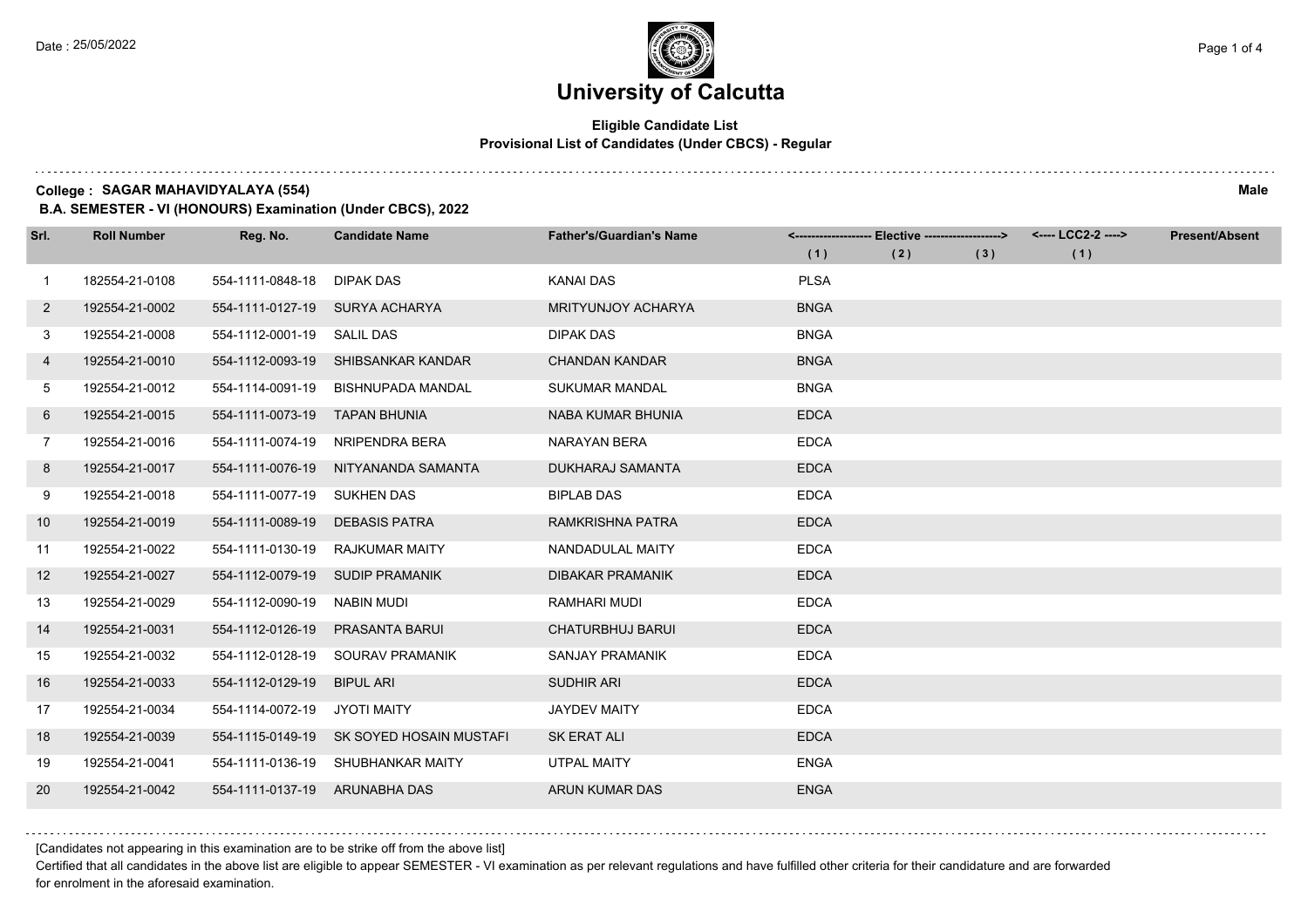$1.111$ 

# **University of Calcutta**

## **Eligible Candidate List Provisional List of Candidates (Under CBCS) - Regular**

#### **College : SAGAR MAHAVIDYALAYA (554) Male**

**B.A. SEMESTER - VI (HONOURS) Examination (Under CBCS), 2022**

| Srl.         | <b>Roll Number</b> | Reg. No.                      | <b>Candidate Name</b>              | <b>Father's/Guardian's Name</b> |             | <-------------------- Elective -------------------> |     | <---- LCC2-2 ----> | <b>Present/Absent</b> |
|--------------|--------------------|-------------------------------|------------------------------------|---------------------------------|-------------|-----------------------------------------------------|-----|--------------------|-----------------------|
|              |                    |                               |                                    |                                 | (1)         | (2)                                                 | (3) | (1)                |                       |
| $\mathbf{1}$ | 182554-21-0108     | 554-1111-0848-18              | <b>DIPAK DAS</b>                   | <b>KANAI DAS</b>                | <b>PLSA</b> |                                                     |     |                    |                       |
| $\mathbf{2}$ | 192554-21-0002     |                               | 554-1111-0127-19 SURYA ACHARYA     | MRITYUNJOY ACHARYA              | <b>BNGA</b> |                                                     |     |                    |                       |
| 3            | 192554-21-0008     | 554-1112-0001-19 SALIL DAS    |                                    | <b>DIPAK DAS</b>                | <b>BNGA</b> |                                                     |     |                    |                       |
| 4            | 192554-21-0010     |                               | 554-1112-0093-19 SHIBSANKAR KANDAR | <b>CHANDAN KANDAR</b>           | <b>BNGA</b> |                                                     |     |                    |                       |
| 5            | 192554-21-0012     | 554-1114-0091-19              | <b>BISHNUPADA MANDAL</b>           | <b>SUKUMAR MANDAL</b>           | <b>BNGA</b> |                                                     |     |                    |                       |
| 6            | 192554-21-0015     | 554-1111-0073-19              | <b>TAPAN BHUNIA</b>                | NABA KUMAR BHUNIA               | <b>EDCA</b> |                                                     |     |                    |                       |
| 7            | 192554-21-0016     | 554-1111-0074-19              | NRIPENDRA BERA                     | NARAYAN BERA                    | <b>EDCA</b> |                                                     |     |                    |                       |
| 8            | 192554-21-0017     | 554-1111-0076-19              | NITYANANDA SAMANTA                 | DUKHARAJ SAMANTA                | <b>EDCA</b> |                                                     |     |                    |                       |
| 9            | 192554-21-0018     | 554-1111-0077-19              | <b>SUKHEN DAS</b>                  | <b>BIPLAB DAS</b>               | <b>EDCA</b> |                                                     |     |                    |                       |
| 10           | 192554-21-0019     | 554-1111-0089-19              | <b>DEBASIS PATRA</b>               | RAMKRISHNA PATRA                | <b>EDCA</b> |                                                     |     |                    |                       |
| 11           | 192554-21-0022     | 554-1111-0130-19              | <b>RAJKUMAR MAITY</b>              | NANDADULAL MAITY                | <b>EDCA</b> |                                                     |     |                    |                       |
| 12           | 192554-21-0027     | 554-1112-0079-19              | SUDIP PRAMANIK                     | <b>DIBAKAR PRAMANIK</b>         | <b>EDCA</b> |                                                     |     |                    |                       |
| 13           | 192554-21-0029     | 554-1112-0090-19              | NABIN MUDI                         | <b>RAMHARI MUDI</b>             | <b>EDCA</b> |                                                     |     |                    |                       |
| 14           | 192554-21-0031     | 554-1112-0126-19              | <b>PRASANTA BARUI</b>              | <b>CHATURBHUJ BARUI</b>         | <b>EDCA</b> |                                                     |     |                    |                       |
| 15           | 192554-21-0032     | 554-1112-0128-19              | SOURAV PRAMANIK                    | SANJAY PRAMANIK                 | <b>EDCA</b> |                                                     |     |                    |                       |
| 16           | 192554-21-0033     | 554-1112-0129-19              | <b>BIPUL ARI</b>                   | <b>SUDHIR ARI</b>               | <b>EDCA</b> |                                                     |     |                    |                       |
| 17           | 192554-21-0034     | 554-1114-0072-19              | <b>JYOTI MAITY</b>                 | <b>JAYDEV MAITY</b>             | <b>EDCA</b> |                                                     |     |                    |                       |
| 18           | 192554-21-0039     | 554-1115-0149-19              | SK SOYED HOSAIN MUSTAFI            | <b>SK ERAT ALI</b>              | <b>EDCA</b> |                                                     |     |                    |                       |
| 19           | 192554-21-0041     |                               | 554-1111-0136-19 SHUBHANKAR MAITY  | UTPAL MAITY                     | <b>ENGA</b> |                                                     |     |                    |                       |
| <b>20</b>    | 192554-21-0042     | 554-1111-0137-19 ARUNABHA DAS |                                    | <b>ARUN KUMAR DAS</b>           | <b>ENGA</b> |                                                     |     |                    |                       |

[Candidates not appearing in this examination are to be strike off from the above list]

Certified that all candidates in the above list are eligible to appear SEMESTER - VI examination as per relevant regulations and have fulfilled other criteria for their candidature and are forwarded for enrolment in the aforesaid examination.

and a state of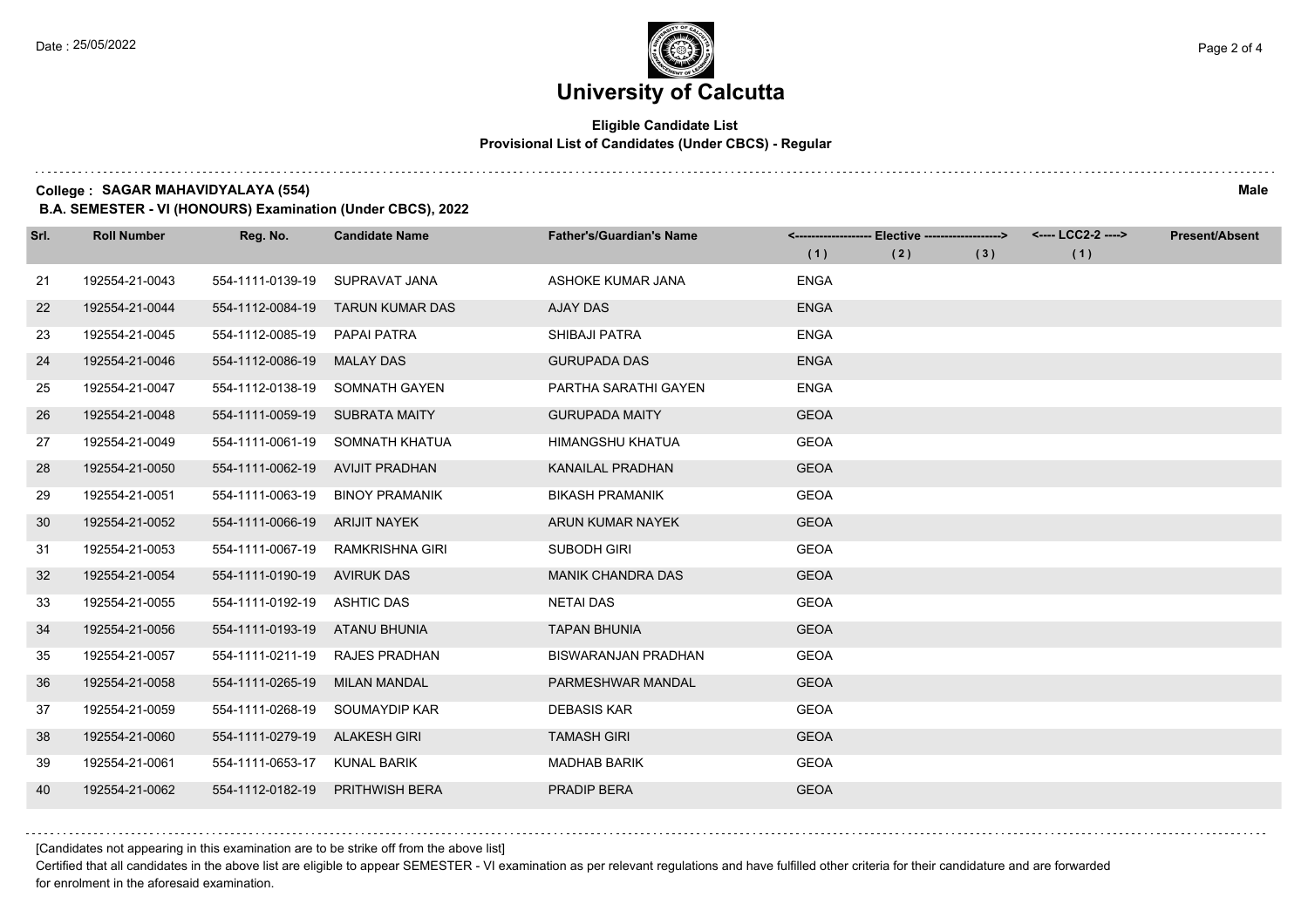$1.111$ 

# **University of Calcutta**

## **Eligible Candidate List Provisional List of Candidates (Under CBCS) - Regular**

#### **College : SAGAR MAHAVIDYALAYA (554) Male**

**B.A. SEMESTER - VI (HONOURS) Examination (Under CBCS), 2022**

| Srl. | <b>Roll Number</b> | Reg. No.                        | <b>Candidate Name</b>  | <b>Father's/Guardian's Name</b> | (1)         | <------------------- Elective ------------------><br>(2) | (3) | <---- LCC2-2 ----><br>(1) | <b>Present/Absent</b> |
|------|--------------------|---------------------------------|------------------------|---------------------------------|-------------|----------------------------------------------------------|-----|---------------------------|-----------------------|
|      |                    |                                 |                        |                                 |             |                                                          |     |                           |                       |
| 21   | 192554-21-0043     | 554-1111-0139-19                | SUPRAVAT JANA          | ASHOKE KUMAR JANA               | <b>ENGA</b> |                                                          |     |                           |                       |
| 22   | 192554-21-0044     | 554-1112-0084-19                | <b>TARUN KUMAR DAS</b> | <b>AJAY DAS</b>                 | <b>ENGA</b> |                                                          |     |                           |                       |
| 23   | 192554-21-0045     | 554-1112-0085-19 PAPAI PATRA    |                        | SHIBAJI PATRA                   | <b>ENGA</b> |                                                          |     |                           |                       |
| 24   | 192554-21-0046     | 554-1112-0086-19                | <b>MALAY DAS</b>       | <b>GURUPADA DAS</b>             | <b>ENGA</b> |                                                          |     |                           |                       |
| 25   | 192554-21-0047     | 554-1112-0138-19                | SOMNATH GAYEN          | PARTHA SARATHI GAYEN            | <b>ENGA</b> |                                                          |     |                           |                       |
| 26   | 192554-21-0048     | 554-1111-0059-19                | <b>SUBRATA MAITY</b>   | <b>GURUPADA MAITY</b>           | <b>GEOA</b> |                                                          |     |                           |                       |
| 27   | 192554-21-0049     | 554-1111-0061-19                | SOMNATH KHATUA         | HIMANGSHU KHATUA                | <b>GEOA</b> |                                                          |     |                           |                       |
| 28   | 192554-21-0050     | 554-1111-0062-19 AVIJIT PRADHAN |                        | <b>KANAILAL PRADHAN</b>         | <b>GEOA</b> |                                                          |     |                           |                       |
| 29   | 192554-21-0051     | 554-1111-0063-19                | <b>BINOY PRAMANIK</b>  | <b>BIKASH PRAMANIK</b>          | <b>GEOA</b> |                                                          |     |                           |                       |
| 30   | 192554-21-0052     | 554-1111-0066-19                | ARIJIT NAYEK           | ARUN KUMAR NAYEK                | <b>GEOA</b> |                                                          |     |                           |                       |
| 31   | 192554-21-0053     | 554-1111-0067-19                | RAMKRISHNA GIRI        | <b>SUBODH GIRI</b>              | <b>GEOA</b> |                                                          |     |                           |                       |
| 32   | 192554-21-0054     | 554-1111-0190-19 AVIRUK DAS     |                        | <b>MANIK CHANDRA DAS</b>        | <b>GEOA</b> |                                                          |     |                           |                       |
| 33   | 192554-21-0055     | 554-1111-0192-19                | <b>ASHTIC DAS</b>      | <b>NETAI DAS</b>                | <b>GEOA</b> |                                                          |     |                           |                       |
| 34   | 192554-21-0056     | 554-1111-0193-19 ATANU BHUNIA   |                        | <b>TAPAN BHUNIA</b>             | <b>GEOA</b> |                                                          |     |                           |                       |
| 35   | 192554-21-0057     | 554-1111-0211-19                | <b>RAJES PRADHAN</b>   | <b>BISWARANJAN PRADHAN</b>      | <b>GEOA</b> |                                                          |     |                           |                       |
| 36   | 192554-21-0058     | 554-1111-0265-19                | MILAN MANDAL           | PARMESHWAR MANDAL               | <b>GEOA</b> |                                                          |     |                           |                       |
| 37   | 192554-21-0059     | 554-1111-0268-19                | SOUMAYDIP KAR          | <b>DEBASIS KAR</b>              | <b>GEOA</b> |                                                          |     |                           |                       |
| 38   | 192554-21-0060     | 554-1111-0279-19                | <b>ALAKESH GIRI</b>    | <b>TAMASH GIRI</b>              | <b>GEOA</b> |                                                          |     |                           |                       |
| 39   | 192554-21-0061     | 554-1111-0653-17                | KUNAL BARIK            | <b>MADHAB BARIK</b>             | <b>GEOA</b> |                                                          |     |                           |                       |
| 40   | 192554-21-0062     | 554-1112-0182-19                | <b>PRITHWISH BERA</b>  | <b>PRADIP BERA</b>              | <b>GEOA</b> |                                                          |     |                           |                       |

[Candidates not appearing in this examination are to be strike off from the above list]

Certified that all candidates in the above list are eligible to appear SEMESTER - VI examination as per relevant regulations and have fulfilled other criteria for their candidature and are forwarded for enrolment in the aforesaid examination.

and a state of the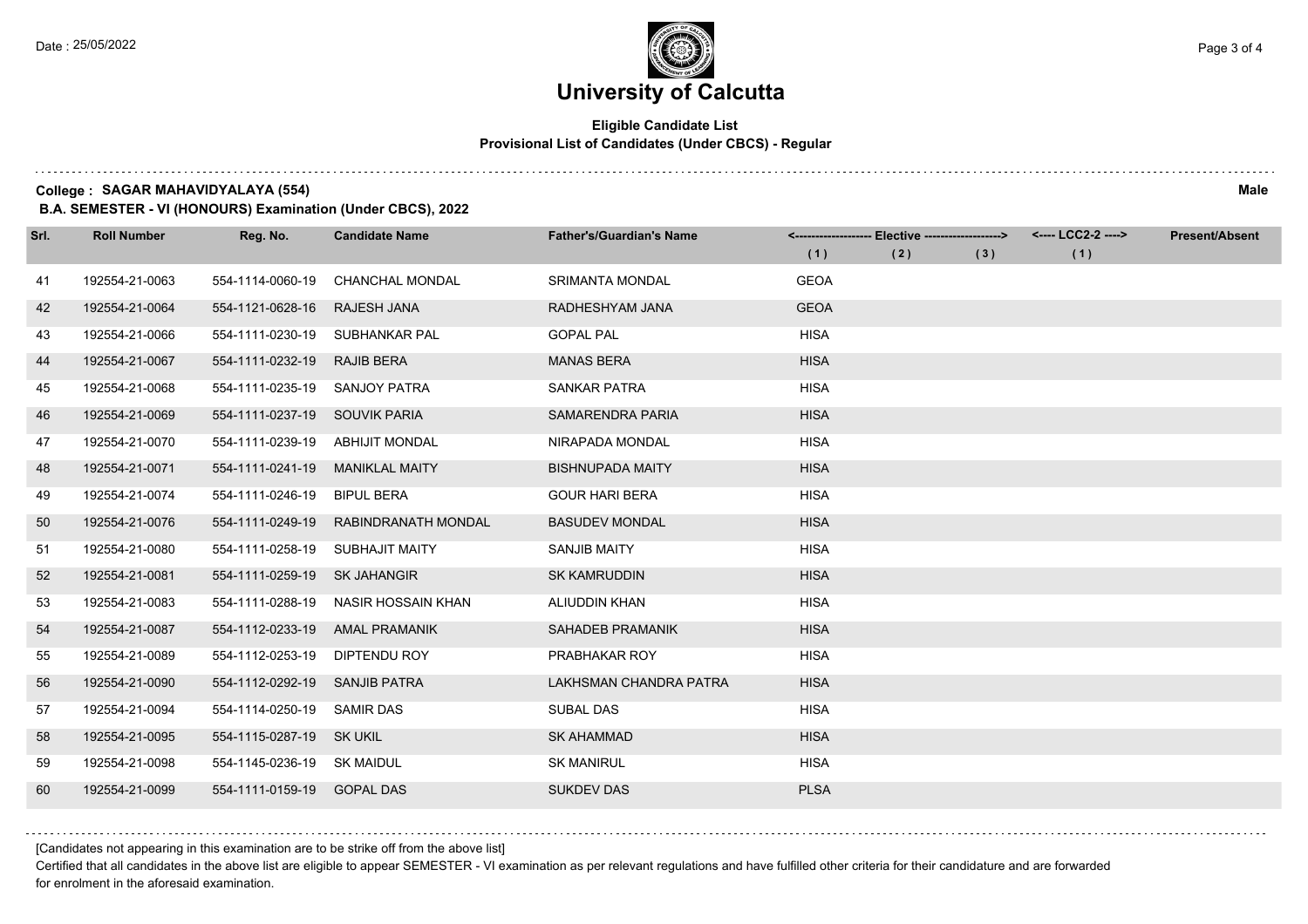## **Eligible Candidate List Provisional List of Candidates (Under CBCS) - Regular**

**College : SAGAR MAHAVIDYALAYA (554) Male**

**B.A. SEMESTER - VI (HONOURS) Examination (Under CBCS), 2022**

| Srl. | <b>Roll Number</b> | Reg. No.                        | <b>Candidate Name</b>  | <b>Father's/Guardian's Name</b> |             | <-------------------- Elective ------------------> |     | <---- LCC2-2 ----> | <b>Present/Absent</b> |
|------|--------------------|---------------------------------|------------------------|---------------------------------|-------------|----------------------------------------------------|-----|--------------------|-----------------------|
|      |                    |                                 |                        |                                 | (1)         | (2)                                                | (3) | (1)                |                       |
| 41   | 192554-21-0063     | 554-1114-0060-19                | <b>CHANCHAL MONDAL</b> | <b>SRIMANTA MONDAL</b>          | <b>GEOA</b> |                                                    |     |                    |                       |
| 42   | 192554-21-0064     | 554-1121-0628-16                | <b>RAJESH JANA</b>     | RADHESHYAM JANA                 | <b>GEOA</b> |                                                    |     |                    |                       |
| 43   | 192554-21-0066     | 554-1111-0230-19                | SUBHANKAR PAL          | <b>GOPAL PAL</b>                | <b>HISA</b> |                                                    |     |                    |                       |
| 44   | 192554-21-0067     | 554-1111-0232-19                | <b>RAJIB BERA</b>      | <b>MANAS BERA</b>               | <b>HISA</b> |                                                    |     |                    |                       |
| 45   | 192554-21-0068     | 554-1111-0235-19                | SANJOY PATRA           | <b>SANKAR PATRA</b>             | <b>HISA</b> |                                                    |     |                    |                       |
| 46   | 192554-21-0069     | 554-1111-0237-19                | SOUVIK PARIA           | <b>SAMARENDRA PARIA</b>         | <b>HISA</b> |                                                    |     |                    |                       |
| 47   | 192554-21-0070     | 554-1111-0239-19 ABHIJIT MONDAL |                        | NIRAPADA MONDAL                 | <b>HISA</b> |                                                    |     |                    |                       |
| 48   | 192554-21-0071     | 554-1111-0241-19                | <b>MANIKLAL MAITY</b>  | <b>BISHNUPADA MAITY</b>         | <b>HISA</b> |                                                    |     |                    |                       |
| 49   | 192554-21-0074     | 554-1111-0246-19                | <b>BIPUL BERA</b>      | <b>GOUR HARI BERA</b>           | <b>HISA</b> |                                                    |     |                    |                       |
| 50   | 192554-21-0076     | 554-1111-0249-19                | RABINDRANATH MONDAL    | <b>BASUDEV MONDAL</b>           | <b>HISA</b> |                                                    |     |                    |                       |
| 51   | 192554-21-0080     | 554-1111-0258-19                | <b>SUBHAJIT MAITY</b>  | <b>SANJIB MAITY</b>             | <b>HISA</b> |                                                    |     |                    |                       |
| 52   | 192554-21-0081     | 554-1111-0259-19                | <b>SK JAHANGIR</b>     | <b>SK KAMRUDDIN</b>             | <b>HISA</b> |                                                    |     |                    |                       |
| 53   | 192554-21-0083     | 554-1111-0288-19                | NASIR HOSSAIN KHAN     | ALIUDDIN KHAN                   | <b>HISA</b> |                                                    |     |                    |                       |
| 54   | 192554-21-0087     | 554-1112-0233-19                | <b>AMAL PRAMANIK</b>   | <b>SAHADEB PRAMANIK</b>         | <b>HISA</b> |                                                    |     |                    |                       |
| 55   | 192554-21-0089     | 554-1112-0253-19                | DIPTENDU ROY           | PRABHAKAR ROY                   | <b>HISA</b> |                                                    |     |                    |                       |
| 56   | 192554-21-0090     | 554-1112-0292-19                | SANJIB PATRA           | LAKHSMAN CHANDRA PATRA          | <b>HISA</b> |                                                    |     |                    |                       |
| 57   | 192554-21-0094     | 554-1114-0250-19                | <b>SAMIR DAS</b>       | <b>SUBAL DAS</b>                | <b>HISA</b> |                                                    |     |                    |                       |
| 58   | 192554-21-0095     | 554-1115-0287-19 SK UKIL        |                        | <b>SK AHAMMAD</b>               | <b>HISA</b> |                                                    |     |                    |                       |
| 59   | 192554-21-0098     | 554-1145-0236-19 SK MAIDUL      |                        | <b>SK MANIRUL</b>               | <b>HISA</b> |                                                    |     |                    |                       |
| 60   | 192554-21-0099     | 554-1111-0159-19 GOPAL DAS      |                        | <b>SUKDEV DAS</b>               | <b>PLSA</b> |                                                    |     |                    |                       |

[Candidates not appearing in this examination are to be strike off from the above list]

Certified that all candidates in the above list are eligible to appear SEMESTER - VI examination as per relevant regulations and have fulfilled other criteria for their candidature and are forwarded for enrolment in the aforesaid examination.

and a state of